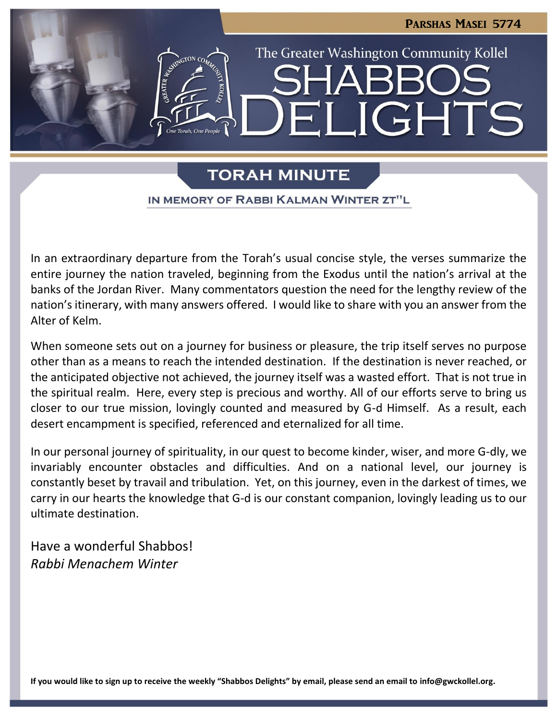

# **TORAH MINUTE**

IN MEMORY OF RABBI KALMAN WINTER ZT"L

In an extraordinary departure from the Torah's usual concise style, the verses summarize the entire journey the nation traveled, beginning from the Exodus until the nation's arrival at the banks of the Jordan River. Many commentators question the need for the lengthy review of the nation's itinerary, with many answers offered. I would like to share with you an answer from the Alter of Kelm.

When someone sets out on a journey for business or pleasure, the trip itself serves no purpose other than as a means to reach the intended destination. If the destination is never reached, or the anticipated objective not achieved, the journey itself was a wasted effort. That is not true in the spiritual realm. Here, every step is precious and worthy. All of our efforts serve to bring us closer to our true mission, lovingly counted and measured by G-d Himself. As a result, each desert encampment is specified, referenced and eternalized for all time.

In our personal journey of spirituality, in our quest to become kinder, wiser, and more G-dly, we invariably encounter obstacles and difficulties. And on a national level, our journey is constantly beset by travail and tribulation. Yet, on this journey, even in the darkest of times, we carry in our hearts the knowledge that G-d is our constant companion, lovingly leading us to our ultimate destination.

Have a wonderful Shabbos! *Rabbi Menachem Winter*

**If you would like to sign up to receive the weekly "Shabbos Delights" by email, please send an email to [info@gwckollel.org.](mailto:info@gwckollel.org)**